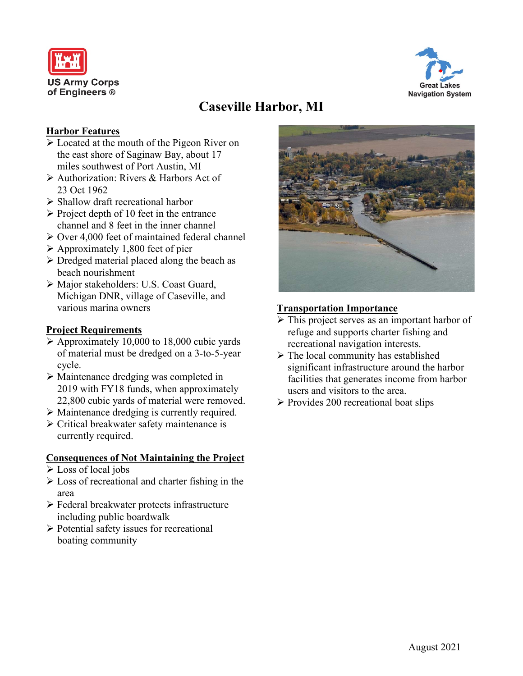



# **Caseville Harbor, MI**

### **Harbor Features**

- Located at the mouth of the Pigeon River on the east shore of Saginaw Bay, about 17 miles southwest of Port Austin, MI
- Authorization: Rivers & Harbors Act of 23 Oct 1962
- $\triangleright$  Shallow draft recreational harbor
- $\triangleright$  Project depth of 10 feet in the entrance channel and 8 feet in the inner channel
- $\geq$  Over 4,000 feet of maintained federal channel
- $\triangleright$  Approximately 1,800 feet of pier
- $\triangleright$  Dredged material placed along the beach as beach nourishment
- Major stakeholders: U.S. Coast Guard, Michigan DNR, village of Caseville, and various marina owners

### **Project Requirements**

- $\triangleright$  Approximately 10,000 to 18,000 cubic yards of material must be dredged on a 3-to-5-year cycle.
- Maintenance dredging was completed in 2019 with FY18 funds, when approximately 22,800 cubic yards of material were removed.
- Maintenance dredging is currently required.
- Critical breakwater safety maintenance is currently required.

### **Consequences of Not Maintaining the Project**

- Loss of local jobs
- $\triangleright$  Loss of recreational and charter fishing in the area
- Federal breakwater protects infrastructure including public boardwalk
- $\triangleright$  Potential safety issues for recreational boating community



### **Transportation Importance**

- $\triangleright$  This project serves as an important harbor of refuge and supports charter fishing and recreational navigation interests.
- $\triangleright$  The local community has established significant infrastructure around the harbor facilities that generates income from harbor users and visitors to the area.
- $\triangleright$  Provides 200 recreational boat slips